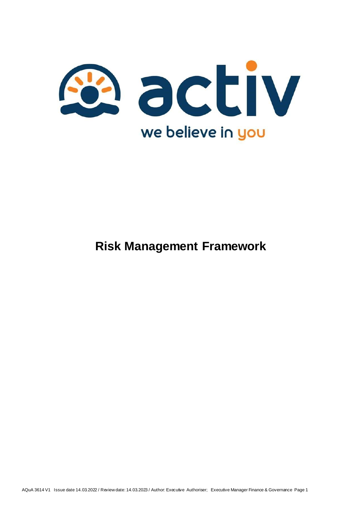

## **Risk Management Framework**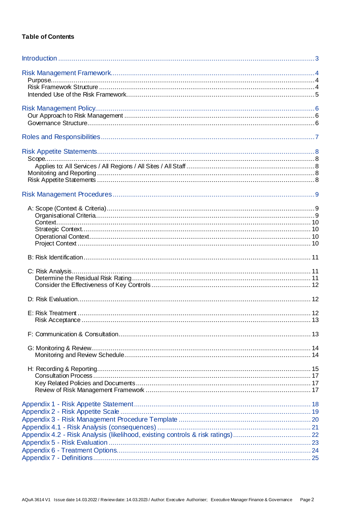#### **Table of Contents**

| Scope |  |
|-------|--|
|       |  |
|       |  |
|       |  |
|       |  |
|       |  |
|       |  |
|       |  |
|       |  |
|       |  |
|       |  |
|       |  |
|       |  |
|       |  |
|       |  |
|       |  |
|       |  |
|       |  |
|       |  |
|       |  |
|       |  |
|       |  |
|       |  |
|       |  |
|       |  |
|       |  |
|       |  |
|       |  |
|       |  |
|       |  |
|       |  |
|       |  |
|       |  |
|       |  |
|       |  |
|       |  |
|       |  |
|       |  |
|       |  |
|       |  |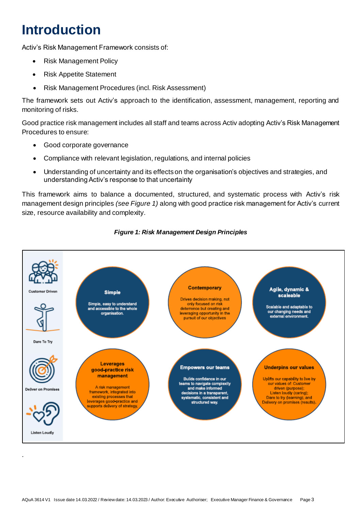## <span id="page-2-0"></span>**Introduction**

Activ's Risk Management Framework consists of:

- Risk Management Policy
- Risk Appetite Statement
- Risk Management Procedures (incl. Risk Assessment)

The framework sets out Activ's approach to the identification, assessment, management, reporting and monitoring of risks.

Good practice risk management includes all staff and teams across Activ adopting Activ's Risk Management Procedures to ensure:

- Good corporate governance
- Compliance with relevant legislation, regulations, and internal policies
- Understanding of uncertainty and its effects on the organisation's objectives and strategies, and understanding Activ's response to that uncertainty

This framework aims to balance a documented, structured, and systematic process with Activ's risk management design principles *(see Figure 1)* along with good practice risk management for Activ's current size, resource availability and complexity.



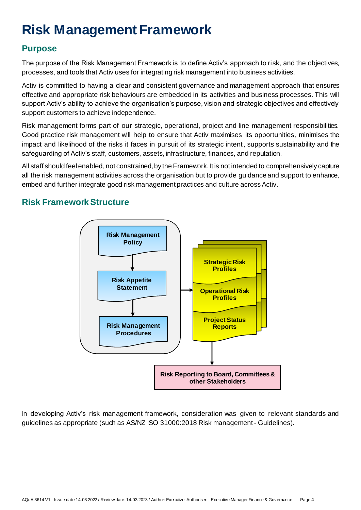# <span id="page-3-0"></span>**Risk Management Framework**

### <span id="page-3-1"></span>**Purpose**

The purpose of the Risk Management Framework is to define Activ's approach to risk, and the objectives, processes, and tools that Activ uses for integrating risk management into business activities.

Activ is committed to having a clear and consistent governance and management approach that ensures effective and appropriate risk behaviours are embedded in its activities and business processes. This will support Activ's ability to achieve the organisation's purpose, vision and strategic objectives and effectively support customers to achieve independence.

Risk management forms part of our strategic, operational, project and line management responsibilities. Good practice risk management will help to ensure that Activ maximises its opportunities, minimises the impact and likelihood of the risks it faces in pursuit of its strategic intent, supports sustainability and the safeguarding of Activ's staff, customers, assets, infrastructure, finances, and reputation.

All staff should feel enabled, not constrained, by the Framework. It is not intended to comprehensively capture all the risk management activities across the organisation but to provide guidance and support to enhance, embed and further integrate good risk management practices and culture across Activ.

## <span id="page-3-2"></span>**Risk Framework Structure**



In developing Activ's risk management framework, consideration was given to relevant standards and guidelines as appropriate (such as AS/NZ ISO 31000:2018 Risk management - Guidelines).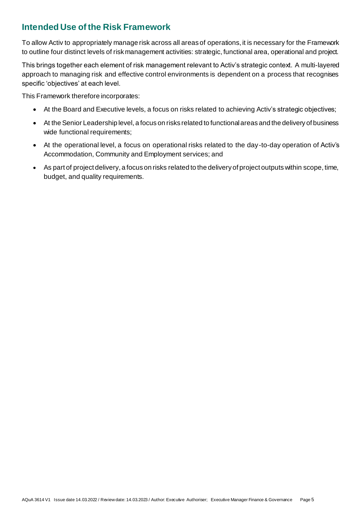## <span id="page-4-0"></span>**Intended Use of the Risk Framework**

To allow Activ to appropriately manage risk across all areas of operations, it is necessary for the Framework to outline four distinct levels of risk management activities: strategic, functional area, operational and project.

This brings together each element of risk management relevant to Activ's strategic context. A multi-layered approach to managing risk and effective control environments is dependent on a process that recognises specific 'objectives' at each level.

This Framework therefore incorporates:

- At the Board and Executive levels, a focus on risks related to achieving Activ's strategic objectives;
- At the Senior Leadership level, a focus on risks related to functional areas and the delivery of business wide functional requirements;
- At the operational level, a focus on operational risks related to the day-to-day operation of Activ's Accommodation, Community and Employment services; and
- As part of project delivery, a focus on risks related to the delivery of project outputs within scope, time, budget, and quality requirements.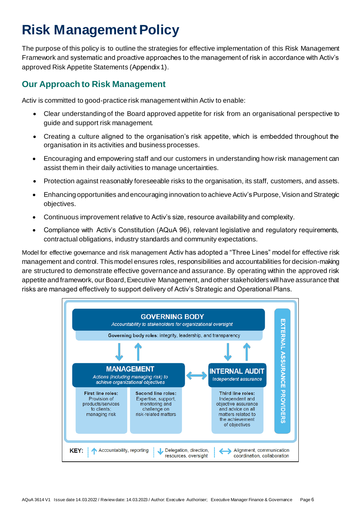## <span id="page-5-0"></span>**Risk Management Policy**

The purpose of this policy is to outline the strategies for effective implementation of this Risk Management Framework and systematic and proactive approaches to the management of risk in accordance with Activ's approved Risk Appetite Statements (Appendix 1).

### <span id="page-5-1"></span>**Our Approach to Risk Management**

Activ is committed to good-practice risk management within Activ to enable:

- Clear understanding of the Board approved appetite for risk from an organisational perspective to guide and support risk management.
- Creating a culture aligned to the organisation's risk appetite, which is embedded throughout the organisation in its activities and business processes.
- Encouraging and empowering staff and our customers in understanding how risk management can assist them in their daily activities to manage uncertainties.
- Protection against reasonably foreseeable risks to the organisation, its staff, customers, and assets.
- Enhancing opportunities and encouraging innovation to achieve Activ's Purpose, Vision and Strategic objectives.
- Continuous improvement relative to Activ's size, resource availability and complexity.
- Compliance with Activ's Constitution (AQuA 96), relevant legislative and regulatory requirements, contractual obligations, industry standards and community expectations.

<span id="page-5-2"></span>Model for effective governance and risk management Activ has adopted a "Three Lines" model for effective risk management and control. This model ensures roles, responsibilities and accountabilities for decision-making are structured to demonstrate effective governance and assurance. By operating within the approved risk appetite and framework, our Board, Executive Management, and other stakeholders will have assurance that risks are managed effectively to support delivery of Activ's Strategic and Operational Plans.

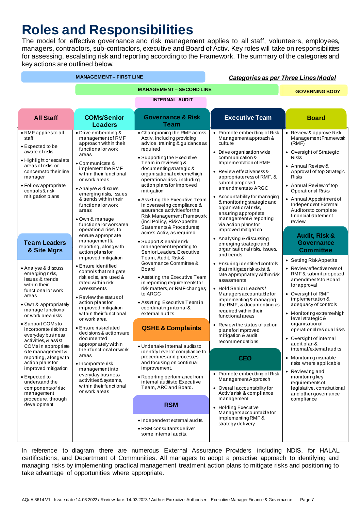## <span id="page-6-0"></span>**Roles and Responsibilities**

The model for effective governance and risk management applies to all staff, volunteers, employees, managers, contractors, sub-contractors, executive and Board of Activ. Key roles will take on responsibilities for assessing, escalating risk and reporting according to the Framework. The summary of the categories and key actions are outlined below.

| <b>MANAGEMENT - FIRST LINE</b>                                                                                                                                                                                                                                                                                                                                                                                                                                                                   |                                                                                                                                                                                                                                                                                                                                                                                                                                                                                                    |                                                                                                                                                                                                                                                                                                                                                                                                                                                                                                                        |                                                                                                                                                                                                                                                                                                                                                                                                                                                                                                                                                                         | <b>Categories as per Three Lines Model</b>                                                                                                                                                                                                                                                                                                                                                                                                                                                                                                                 |
|--------------------------------------------------------------------------------------------------------------------------------------------------------------------------------------------------------------------------------------------------------------------------------------------------------------------------------------------------------------------------------------------------------------------------------------------------------------------------------------------------|----------------------------------------------------------------------------------------------------------------------------------------------------------------------------------------------------------------------------------------------------------------------------------------------------------------------------------------------------------------------------------------------------------------------------------------------------------------------------------------------------|------------------------------------------------------------------------------------------------------------------------------------------------------------------------------------------------------------------------------------------------------------------------------------------------------------------------------------------------------------------------------------------------------------------------------------------------------------------------------------------------------------------------|-------------------------------------------------------------------------------------------------------------------------------------------------------------------------------------------------------------------------------------------------------------------------------------------------------------------------------------------------------------------------------------------------------------------------------------------------------------------------------------------------------------------------------------------------------------------------|------------------------------------------------------------------------------------------------------------------------------------------------------------------------------------------------------------------------------------------------------------------------------------------------------------------------------------------------------------------------------------------------------------------------------------------------------------------------------------------------------------------------------------------------------------|
|                                                                                                                                                                                                                                                                                                                                                                                                                                                                                                  |                                                                                                                                                                                                                                                                                                                                                                                                                                                                                                    | <b>MANAGEMENT - SECOND LINE</b>                                                                                                                                                                                                                                                                                                                                                                                                                                                                                        |                                                                                                                                                                                                                                                                                                                                                                                                                                                                                                                                                                         | <b>GOVERNING BODY</b>                                                                                                                                                                                                                                                                                                                                                                                                                                                                                                                                      |
|                                                                                                                                                                                                                                                                                                                                                                                                                                                                                                  |                                                                                                                                                                                                                                                                                                                                                                                                                                                                                                    | <b>INTERNAL AUDIT</b>                                                                                                                                                                                                                                                                                                                                                                                                                                                                                                  |                                                                                                                                                                                                                                                                                                                                                                                                                                                                                                                                                                         |                                                                                                                                                                                                                                                                                                                                                                                                                                                                                                                                                            |
| <b>All Staff</b>                                                                                                                                                                                                                                                                                                                                                                                                                                                                                 | <b>COMs/Senior</b><br><b>Leaders</b>                                                                                                                                                                                                                                                                                                                                                                                                                                                               | <b>Governance &amp; Risk</b><br>Team                                                                                                                                                                                                                                                                                                                                                                                                                                                                                   | <b>Executive Team</b>                                                                                                                                                                                                                                                                                                                                                                                                                                                                                                                                                   | <b>Board</b>                                                                                                                                                                                                                                                                                                                                                                                                                                                                                                                                               |
| • RMF appliesto all<br>staff<br>• Expected to be<br>aware of risks<br>• Highlight or escalate<br>areas of risks or<br>concernsto their line<br>manager<br>• Follow appropriate<br>controls& risk<br>mitigation plans                                                                                                                                                                                                                                                                             | • Drive embedding &<br>management of RMF<br>approach within their<br>functional or work<br>areas<br>• Communicate &<br>implement the RMF<br>within their functional<br>or work areas<br>• Analyse & discuss<br>emerging risks, issues<br>& trends within their<br>functional or work<br>areas<br>• Own & manage<br>functional or work area<br>operational risks, to                                                                                                                                | • Championing the RMF across<br>Activ, including providing<br>advice, training & guidance as<br>required<br>• Supporting the Executive<br>Team in reviewing &<br>documenting strategic &<br>organisational extreme/high<br>operational risks, including<br>action plansfor improved<br>mitigation<br>• Assisting the Executive Team<br>in overseeing compliance &<br>assurance activities for the<br>Risk Management Framework<br>(incl Policy, Risk Appetite<br>Statements & Procedures)<br>across Activ, as required | • Promote embedding of Risk<br>Management approach &<br>culture<br>• Drive organisation wide<br>communication &<br>Implementation of RMF<br>• Review effectiveness &<br>appropriateness of RMF, &<br>submit proposed<br>amendmentsto ARGC<br>• Accountability for managing<br>& monitoring strategic and<br>organisational risks,<br>ensuring appropriate<br>management & reporting<br>via action plansfor<br>improved mitigation                                                                                                                                       | • Review & approve Risk<br>Management Framework<br>(RMF)<br>• Oversight of Strategic<br><b>Risks</b><br>• Annual Review &<br>Approval of top Strategic<br><b>Risks</b><br>• Annual Review of top<br><b>Operational Risks</b><br>• Annual Appointment of<br>Independent External<br>Auditorsto complete<br>financial statement<br>review                                                                                                                                                                                                                    |
| <b>Team Leaders</b><br>& Site Mgrs                                                                                                                                                                                                                                                                                                                                                                                                                                                               | ensure appropriate<br>management&<br>reporting, along with<br>action plansfor<br>improved mitigation                                                                                                                                                                                                                                                                                                                                                                                               | • Support & enable risk<br>management reporting to<br>Senior Leaders, Executive<br>Team, Audit, Risk&                                                                                                                                                                                                                                                                                                                                                                                                                  | • Analysing & discussing<br>emerging strategic and<br>organisational risks, issues,<br>and trends                                                                                                                                                                                                                                                                                                                                                                                                                                                                       | Audit, Risk &<br><b>Governance</b><br><b>Committee</b>                                                                                                                                                                                                                                                                                                                                                                                                                                                                                                     |
| • Analyse & discuss<br>emerging risks,<br>issues & trends<br>within their<br>functional or work<br>areas<br>• Own & appropriately<br>manage functional<br>or work area risks<br>• Support COMsto<br>incorporate riskinto<br>everyday business<br>activities, & assist<br>COMs in appropriate<br>site management &<br>reporting, along with<br>action plansfor<br>improved mitigation<br>• Expected to<br>understand the<br>components of risk<br>management<br>procedure, through<br>development | • Ensure identified<br>controls that mitigate<br>risk exist, are used &<br>rated within risk<br>assessments<br>• Review the status of<br>action plansfor<br>improved mitigation<br>within their functional<br>or work area<br>• Ensure risk-related<br>decisions& actions are<br>documented<br>appropriately within<br>their functional or work<br>areas<br>$\bullet$ Incorporate risk<br>managementinto<br>everyday business<br>activities & systems,<br>within their functional<br>or work areas | Governance Committee &<br><b>Board</b><br>• Assisting the Executive Team<br>in reporting requirements for<br>risk matters, or RMF changes<br>to ARGC<br>• Assisting Executive Team in<br>coordinating internal &<br>external audits<br><b>QSHE &amp; Complaints</b><br>• Undertake internal audits to<br>identify level of compliance to<br>procedures and processes<br>and focusing on continual<br>improvement.<br>• Reporting performance from<br>internal auditsto Executive<br>Team, ARC and Board.<br><b>RSM</b> | • Ensuring identified controls<br>that mitigate risk exist &<br>rate appropriately within risk<br>assessments<br>• Hold Senior Leaders/<br>Managers accountable for<br>implementing & managing<br>the RMF, & documenting as<br>required within their<br>functional areas<br>• Review the status of action<br>plansforimproved<br>mitigation & audit<br>recommendations<br><b>CEO</b><br>• Promote embedding of Risk<br>Management Approach<br>• Overall accountability for<br>Activ's risk & compliance<br>management<br>• Holding Executive<br>Managersaccountable for | • Setting Risk Appetite<br>• Review effectiveness of<br>RMF & submit proposed<br>amendmentsto Board<br>for approval<br>• Oversight of RMF<br>implementation &<br>adequacy of controls<br>• Monitoring extreme/high<br>level strategic &<br>organisational<br>operational residual risks<br>• Oversight of internal<br>audit plan &<br>internal/external audits<br>• Monitoring insurable<br>risks where applicable<br>Reviewing and<br>$\bullet$<br>monitoring key<br>requirements of<br>legislative, constitutional<br>and other governance<br>compliance |
|                                                                                                                                                                                                                                                                                                                                                                                                                                                                                                  |                                                                                                                                                                                                                                                                                                                                                                                                                                                                                                    | • Independent external audits.<br>• RSM consultants deliver<br>some internal audits.                                                                                                                                                                                                                                                                                                                                                                                                                                   | implementing RMF &<br>strategy delivery                                                                                                                                                                                                                                                                                                                                                                                                                                                                                                                                 |                                                                                                                                                                                                                                                                                                                                                                                                                                                                                                                                                            |

In reference to diagram there are numerous External Assurance Providers including NDIS, for HALAL certifications, and Department of Communities. All managers to adopt a proactive approach to identifying and managing risks by implementing practical management treatment action plans to mitigate risks and positioning to take advantage of opportunities where appropriate.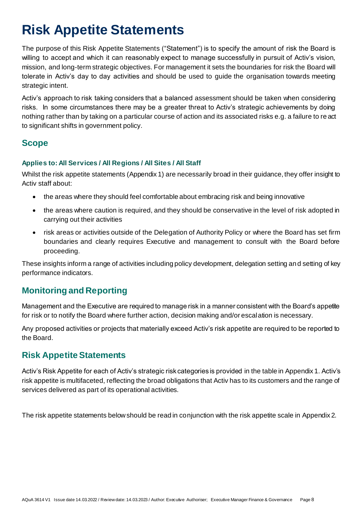## <span id="page-7-0"></span>**Risk Appetite Statements**

The purpose of this Risk Appetite Statements ("Statement") is to specify the amount of risk the Board is willing to accept and which it can reasonably expect to manage successfully in pursuit of Activ's vision, mission, and long-term strategic objectives. For management it sets the boundaries for risk the Board will tolerate in Activ's day to day activities and should be used to guide the organisation towards meeting strategic intent.

Activ's approach to risk taking considers that a balanced assessment should be taken when considering risks. In some circumstances there may be a greater threat to Activ's strategic achievements by doing nothing rather than by taking on a particular course of action and its associated risks e.g. a failure to re act to significant shifts in government policy.

## <span id="page-7-1"></span>**Scope**

#### <span id="page-7-2"></span>**Applies to: All Services / All Regions / All Sites / All Staff**

Whilst the risk appetite statements (Appendix 1) are necessarily broad in their guidance, they offer insight to Activ staff about:

- the areas where they should feel comfortable about embracing risk and being innovative
- the areas where caution is required, and they should be conservative in the level of risk adopted in carrying out their activities
- risk areas or activities outside of the Delegation of Authority Policy or where the Board has set firm boundaries and clearly requires Executive and management to consult with the Board before proceeding.

These insights inform a range of activities including policy development, delegation setting and setting of key performance indicators.

## <span id="page-7-3"></span>**Monitoring and Reporting**

Management and the Executive are required to manage risk in a manner consistent with the Board's appetite for risk or to notify the Board where further action, decision making and/or escalation is necessary.

Any proposed activities or projects that materially exceed Activ's risk appetite are required to be reported to the Board.

## <span id="page-7-4"></span>**Risk Appetite Statements**

Activ's Risk Appetite for each of Activ's strategic risk categories is provided in the table in Appendix 1. Activ's risk appetite is multifaceted, reflecting the broad obligations that Activ has to its customers and the range of services delivered as part of its operational activities.

The risk appetite statements below should be read in conjunction with the risk appetite scale in Appendix 2.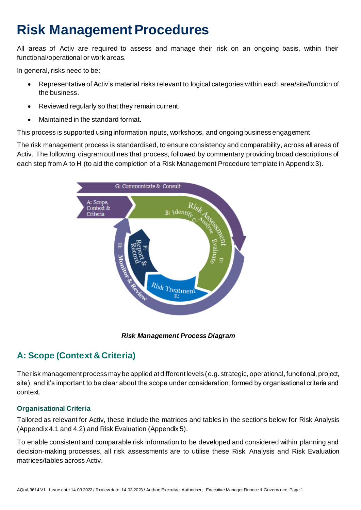## <span id="page-8-0"></span>**Risk Management Procedures**

All areas of Activ are required to assess and manage their risk on an ongoing basis, within their functional/operational or work areas.

In general, risks need to be:

- Representative of Activ's material risks relevant to logical categories within each area/site/function of the business.
- Reviewed regularly so that they remain current.
- Maintained in the standard format.

This process is supported using information inputs, workshops, and ongoing business engagement.

The risk management process is standardised, to ensure consistency and comparability, across all areas of Activ. The following diagram outlines that process, followed by commentary providing broad descriptions of each step from A to H (to aid the completion of a Risk Management Procedure template in Appendix 3).



*Risk Management Process Diagram*

## <span id="page-8-1"></span>**A: Scope (Context & Criteria)**

The risk management process may be applied at different levels (e.g. strategic, operational, functional, project, site), and it's important to be clear about the scope under consideration; formed by organisational criteria and context.

#### <span id="page-8-2"></span>**Organisational Criteria**

Tailored as relevant for Activ, these include the matrices and tables in the sections below for Risk Analysis (Appendix 4.1 and 4.2) and Risk Evaluation (Appendix 5).

To enable consistent and comparable risk information to be developed and considered within planning and decision-making processes, all risk assessments are to utilise these Risk Analysis and Risk Evaluation matrices/tables across Activ.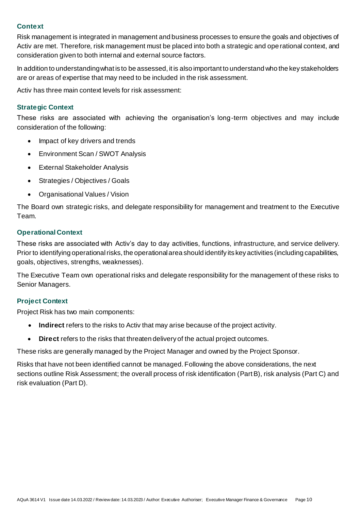#### <span id="page-9-0"></span>**Context**

Risk management is integrated in management and business processes to ensure the goals and objectives of Activ are met. Therefore, risk management must be placed into both a strategic and operational context, and consideration given to both internal and external source factors.

In addition to understanding what is to be assessed, it is also important to understand who the key stakeholders are or areas of expertise that may need to be included in the risk assessment.

Activ has three main context levels for risk assessment:

#### <span id="page-9-1"></span>**Strategic Context**

These risks are associated with achieving the organisation's long-term objectives and may include consideration of the following:

- Impact of key drivers and trends
- Environment Scan / SWOT Analysis
- External Stakeholder Analysis
- Strategies / Objectives / Goals
- Organisational Values / Vision

The Board own strategic risks, and delegate responsibility for management and treatment to the Executive Team.

#### <span id="page-9-2"></span>**Operational Context**

These risks are associated with Activ's day to day activities, functions, infrastructure, and service delivery. Prior to identifying operational risks, the operational area should identify its key activities (including capabilities, goals, objectives, strengths, weaknesses).

The Executive Team own operational risks and delegate responsibility for the management of these risks to Senior Managers.

#### <span id="page-9-3"></span>**Project Context**

Project Risk has two main components:

- **Indirect** refers to the risks to Activ that may arise because of the project activity.
- **Direct** refers to the risks that threaten delivery of the actual project outcomes.

These risks are generally managed by the Project Manager and owned by the Project Sponsor.

Risks that have not been identified cannot be managed. Following the above considerations, the next sections outline Risk Assessment; the overall process of risk identification (Part B), risk analysis (Part C) and risk evaluation (Part D).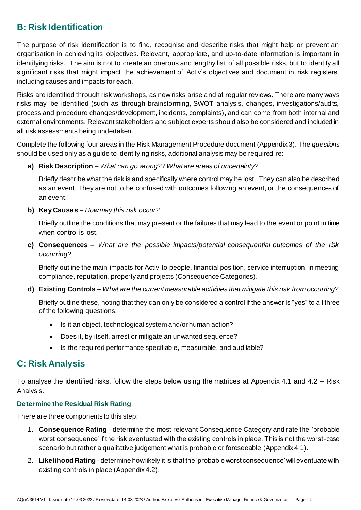## <span id="page-10-0"></span>**B: Risk Identification**

The purpose of risk identification is to find, recognise and describe risks that might help or prevent an organisation in achieving its objectives. Relevant, appropriate, and up-to-date information is important in identifying risks. The aim is not to create an onerous and lengthy list of all possible risks, but to identify all significant risks that might impact the achievement of Activ's objectives and document in risk registers, including causes and impacts for each.

Risks are identified through risk workshops, as new risks arise and at regular reviews. There are many ways risks may be identified (such as through brainstorming, SWOT analysis, changes, investigations/audits, process and procedure changes/development, incidents, complaints), and can come from both internal and external environments. Relevant stakeholders and subject experts should also be considered and included in all risk assessments being undertaken.

Complete the following four areas in the Risk Management Procedure document (Appendix 3). The *questions* should be used only as a guide to identifying risks, additional analysis may be required re:

**a) Risk Description** – *What can go wrong? / What are areas of uncertainty?*

Briefly describe what the risk is and specifically where control may be lost. They can also be described as an event. They are not to be confused with outcomes following an event, or the consequences of an event.

**b) Key Causes** – *How may this risk occur?* 

Briefly outline the conditions that may present or the failures that may lead to the event or point in time when control is lost.

**c) Consequences** – *What are the possible impacts/potential consequential outcomes of the risk occurring?*

Briefly outline the main impacts for Activ to people, financial position, service interruption, in meeting compliance, reputation, property and projects (Consequence Categories).

**d) Existing Controls** – *What are the current measurable activities that mitigate this risk from occurring?*

Briefly outline these, noting that they can only be considered a control if the answer is "yes" to all three of the following questions:

- Is it an object, technological system and/or human action?
- Does it, by itself, arrest or mitigate an unwanted sequence?
- Is the required performance specifiable, measurable, and auditable?

### <span id="page-10-1"></span>**C: Risk Analysis**

To analyse the identified risks, follow the steps below using the matrices at Appendix 4.1 and 4.2 – Risk Analysis.

#### <span id="page-10-2"></span>**Determine the Residual Risk Rating**

There are three components to this step:

- 1. **Consequence Rating** determine the most relevant Consequence Category and rate the 'probable worst consequence' if the risk eventuated with the existing controls in place. This is not the worst-case scenario but rather a qualitative judgement what is probable or foreseeable (Appendix 4.1).
- 2. **Likelihood Rating**  determine how likely it is that the 'probable worst consequence' will eventuate with existing controls in place (Appendix 4.2).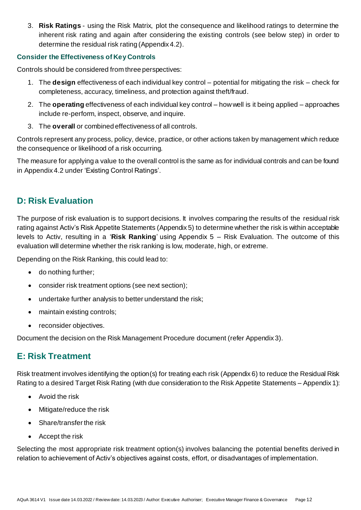3. **Risk Ratings** - using the Risk Matrix, plot the consequence and likelihood ratings to determine the inherent risk rating and again after considering the existing controls (see below step) in order to determine the residual risk rating (Appendix 4.2).

#### <span id="page-11-0"></span>**Consider the Effectiveness of Key Controls**

Controls should be considered from three perspectives:

- 1. The **design** effectiveness of each individual key control potential for mitigating the risk check for completeness, accuracy, timeliness, and protection against theft/fraud.
- 2. The **operating** effectiveness of each individual key control how well is it being applied approaches include re-perform, inspect, observe, and inquire.
- 3. The **overall** or combined effectiveness of all controls.

Controls represent any process, policy, device, practice, or other actions taken by management which reduce the consequence or likelihood of a risk occurring.

The measure for applying a value to the overall control is the same as for individual controls and can be found in Appendix 4.2 under 'Existing Control Ratings'.

### <span id="page-11-1"></span>**D: Risk Evaluation**

The purpose of risk evaluation is to support decisions. It involves comparing the results of the residual risk rating against Activ's Risk Appetite Statements (Appendix 5) to determine whether the risk is within acceptable levels to Activ, resulting in a '**Risk Ranking**' using Appendix 5 – Risk Evaluation. The outcome of this evaluation will determine whether the risk ranking is low, moderate, high, or extreme.

Depending on the Risk Ranking, this could lead to:

- do nothing further;
- consider risk treatment options (see next section);
- undertake further analysis to better understand the risk;
- maintain existing controls;
- reconsider objectives.

Document the decision on the Risk Management Procedure document (refer Appendix 3).

### <span id="page-11-2"></span>**E: Risk Treatment**

Risk treatment involves identifying the option(s) for treating each risk (Appendix 6) to reduce the Residual Risk Rating to a desired Target Risk Rating (with due consideration to the Risk Appetite Statements – Appendix 1):

- Avoid the risk
- Mitigate/reduce the risk
- Share/transfer the risk
- Accept the risk

Selecting the most appropriate risk treatment option(s) involves balancing the potential benefits derived in relation to achievement of Activ's objectives against costs, effort, or disadvantages of implementation.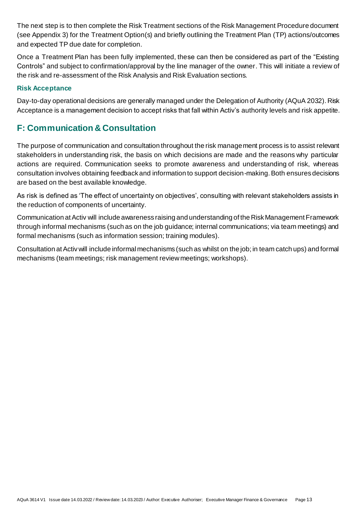The next step is to then complete the Risk Treatment sections of the Risk Management Procedure document (see Appendix 3) for the Treatment Option(s) and briefly outlining the Treatment Plan (TP) actions/outcomes and expected TP due date for completion.

Once a Treatment Plan has been fully implemented, these can then be considered as part of the "Existing Controls" and subject to confirmation/approval by the line manager of the owner. This will initiate a review of the risk and re-assessment of the Risk Analysis and Risk Evaluation sections.

#### <span id="page-12-0"></span>**Risk Acceptance**

Day-to-day operational decisions are generally managed under the Delegation of Authority (AQuA 2032). Risk Acceptance is a management decision to accept risks that fall within Activ's authority levels and risk appetite.

## <span id="page-12-1"></span>**F: Communication & Consultation**

The purpose of communication and consultation throughout the risk management process is to assist relevant stakeholders in understanding risk, the basis on which decisions are made and the reasons why particular actions are required. Communication seeks to promote awareness and understanding of risk, whereas consultation involves obtaining feedback and information to support decision-making.Both ensures decisions are based on the best available knowledge.

As risk is defined as 'The effect of uncertainty on objectives', consulting with relevant stakeholders assists in the reduction of components of uncertainty.

Communication at Activ will include awareness raising and understanding of the Risk Management Framework through informal mechanisms (such as on the job guidance; internal communications; via team meetings) and formal mechanisms (such as information session; training modules).

Consultation at Activ will include informal mechanisms (such as whilst on the job; in team catch ups) and formal mechanisms (team meetings; risk management review meetings; workshops).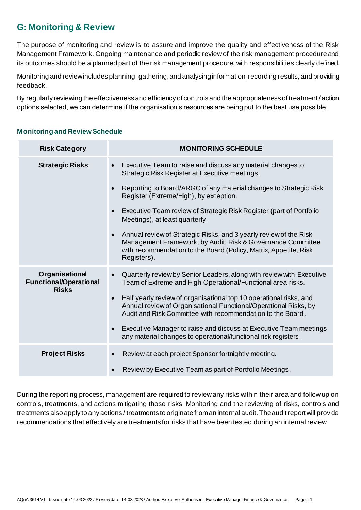## <span id="page-13-0"></span>**G: Monitoring & Review**

The purpose of monitoring and review is to assure and improve the quality and effectiveness of the Risk Management Framework. Ongoing maintenance and periodic review of the risk management procedure and its outcomes should be a planned part of the risk management procedure, with responsibilities clearly defined.

Monitoring and review includes planning, gathering, and analysing information, recording results, and providing feedback.

By regularly reviewing the effectiveness and efficiency of controls and the appropriateness of treatment / action options selected, we can determine if the organisation's resources are being put to the best use possible.

#### <span id="page-13-1"></span>**Monitoring and Review Schedule**

| <b>Risk Category</b>                                            | <b>MONITORING SCHEDULE</b>                                                                                                                                                                                                       |
|-----------------------------------------------------------------|----------------------------------------------------------------------------------------------------------------------------------------------------------------------------------------------------------------------------------|
| <b>Strategic Risks</b>                                          | Executive Team to raise and discuss any material changes to<br>$\bullet$<br>Strategic Risk Register at Executive meetings.                                                                                                       |
|                                                                 | Reporting to Board/ARGC of any material changes to Strategic Risk<br>$\bullet$<br>Register (Extreme/High), by exception.                                                                                                         |
|                                                                 | Executive Team review of Strategic Risk Register (part of Portfolio<br>$\bullet$<br>Meetings), at least quarterly.                                                                                                               |
|                                                                 | Annual review of Strategic Risks, and 3 yearly review of the Risk<br>$\bullet$<br>Management Framework, by Audit, Risk & Governance Committee<br>with recommendation to the Board (Policy, Matrix, Appetite, Risk<br>Registers). |
| Organisational<br><b>Functional/Operational</b><br><b>Risks</b> | Quarterly review by Senior Leaders, along with review with Executive<br>$\bullet$<br>Team of Extreme and High Operational/Functional area risks.                                                                                 |
|                                                                 | Half yearly review of organisational top 10 operational risks, and<br>$\bullet$<br>Annual review of Organisational Functional/Operational Risks, by<br>Audit and Risk Committee with recommendation to the Board.                |
|                                                                 | Executive Manager to raise and discuss at Executive Team meetings<br>$\bullet$<br>any material changes to operational/functional risk registers.                                                                                 |
| <b>Project Risks</b>                                            | Review at each project Sponsor fortnightly meeting.<br>$\bullet$                                                                                                                                                                 |
|                                                                 | Review by Executive Team as part of Portfolio Meetings.<br>$\bullet$                                                                                                                                                             |

During the reporting process, management are required to review any risks within their area and follow up on controls, treatments, and actions mitigating those risks. Monitoring and the reviewing of risks, controls and treatments also apply to any actions / treatments to originate from an internal audit. The audit report will provide recommendations that effectively are treatments for risks that have been tested during an internal review.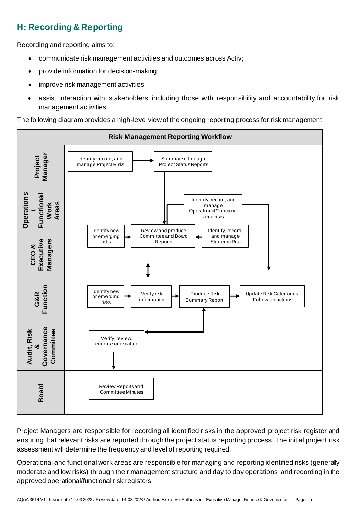## <span id="page-14-0"></span>**H: Recording & Reporting**

Recording and reporting aims to:

- communicate risk management activities and outcomes across Activ;
- provide information for decision-making;
- improve risk management activities;
- assist interaction with stakeholders, including those with responsibility and accountability for risk management activities.

The following diagram provides a high-level view of the ongoing reporting process for risk management.



Project Managers are responsible for recording all identified risks in the approved project risk register and ensuring that relevant risks are reported through the project status reporting process. The initial project risk assessment will determine the frequency and level of reporting required.

Operational and functional work areas are responsible for managing and reporting identified risks (generally moderate and low risks) through their management structure and day to day operations, and recording in the approved operational/functional risk registers.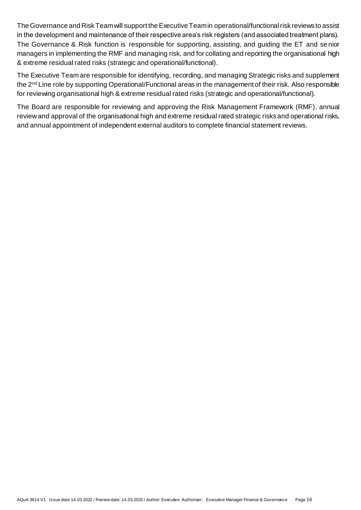The Governance and Risk Team will support the Executive Team in operational/functional risk reviews to assist in the development and maintenance of their respective area's risk registers (and associated treatment plans). The Governance & Risk function is responsible for supporting, assisting, and guiding the ET and se nior managers in implementing the RMF and managing risk, and for collating and reporting the organisational high & extreme residual rated risks (strategic and operational/functional).

The Executive Team are responsible for identifying, recording, and managing Strategic risks and supplement the 2nd Line role by supporting Operational/Functional areas in the management of their risk. Also responsible for reviewing organisational high & extreme residual rated risks (strategic and operational/functional).

The Board are responsible for reviewing and approving the Risk Management Framework (RMF), annual review and approval of the organisational high and extreme residual rated strategic risks and operational risks, and annual appointment of independent external auditors to complete financial statement reviews.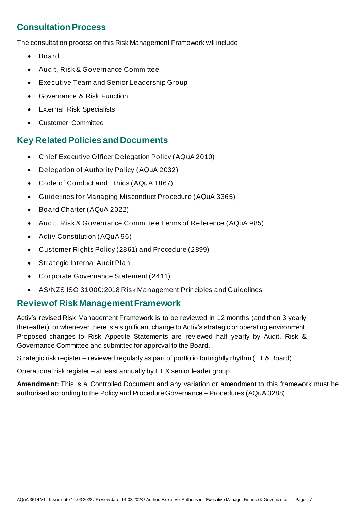## <span id="page-16-0"></span>**Consultation Process**

The consultation process on this Risk Management Framework will include:

- Board
- Audit, Risk & Governance Committee
- Executive Team and Senior Leadership Group
- Governance & Risk Function
- External Risk Specialists
- Customer Committee

### <span id="page-16-1"></span>**Key Related Policies and Documents**

- Chief Executive Officer Delegation Policy (AQuA 2010)
- Delegation of Authority Policy (AQuA 2032)
- Code of Conduct and Ethics (AQuA 1867)
- Guidelines for Managing Misconduct Pro cedure (AQuA 3365)
- Board Charter (AQuA 2022)
- Audit, Risk & Governance Committee Terms of Reference (AQuA 985)
- Activ Constitution (AQuA 96)
- Customer Rights Policy (2861) and Procedure (2899)
- Strategic Internal Audit Plan
- Corporate Governance Statement (2411)
- AS/NZS ISO 31000:2018 Risk Management Principles and Guidelines

### <span id="page-16-2"></span>**Reviewof Risk Management Framework**

Activ's revised Risk Management Framework is to be reviewed in 12 months (and then 3 yearly thereafter), or whenever there is a significant change to Activ's strategic or operating environment. Proposed changes to Risk Appetite Statements are reviewed half yearly by Audit, Risk & Governance Committee and submitted for approval to the Board.

Strategic risk register – reviewed regularly as part of portfolio fortnightly rhythm (ET & Board)

Operational risk register – at least annually by ET & senior leader group

**Amendment:** This is a Controlled Document and any variation or amendment to this framework must be authorised according to the Policy and Procedure Governance – Procedures (AQuA 3288).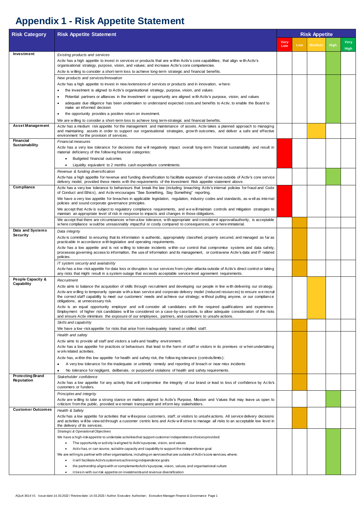AQuA 3614 V1 Issue date 14.03.2022 / Review date: 14.03.2023 / Author: Executive Authoriser; Executive Manager Finance & Governance Page 1

# <span id="page-17-0"></span>**Appendix 1 - Risk Appetite Statement**

| <b>Risk Category</b>                         | <b>Risk Appetite Statement</b>                                                                                                                                                                                                                                                                                      |             |     | <b>Risk Appetite</b> |      |                     |  |
|----------------------------------------------|---------------------------------------------------------------------------------------------------------------------------------------------------------------------------------------------------------------------------------------------------------------------------------------------------------------------|-------------|-----|----------------------|------|---------------------|--|
|                                              |                                                                                                                                                                                                                                                                                                                     | Very<br>Low | Low | <b>Medium</b>        | High | <b>Very</b><br>High |  |
| Investment                                   | Existing products and services                                                                                                                                                                                                                                                                                      |             |     |                      |      |                     |  |
|                                              | Activ has a high appetite to invest in services or products that are within Activ's core capabilities; that align with Activ's<br>organisational strategy, purpose, vision, and values; and increase Activ's core competencies.                                                                                     |             |     |                      |      |                     |  |
|                                              | Activ is willing to consider a short-term loss to achieve long-term strategic and financial benefits.                                                                                                                                                                                                               |             |     |                      |      |                     |  |
|                                              | New products and services/Innovation                                                                                                                                                                                                                                                                                |             |     |                      |      |                     |  |
|                                              | Activ has a high appetite to invest in new/extensions of services or products and in innovation, where:                                                                                                                                                                                                             |             |     |                      |      |                     |  |
|                                              | the investment is aligned to Activ's organisational strategy, purpose, vision, and values.<br>$\bullet$                                                                                                                                                                                                             |             |     |                      |      |                     |  |
|                                              | Potential partners or alliances in the investment or opportunity are aligned with Activ's purpose, vision, and values<br>٠<br>adequate due diligence has been undertaken to understand expected costs and benefits to Activ, to enable the Board to                                                                 |             |     |                      |      |                     |  |
|                                              | make an informed decision                                                                                                                                                                                                                                                                                           |             |     |                      |      |                     |  |
|                                              | the opportunity provides a positive return on investment.<br>$\bullet$                                                                                                                                                                                                                                              |             |     |                      |      |                     |  |
|                                              | We are willing to consider a short-term loss to achieve long term-strategic and financial benefits.                                                                                                                                                                                                                 |             |     |                      |      |                     |  |
| <b>Asset Management</b>                      | Activ has a medium risk appetite for the management and maintenance of assets. Activ takes a planned approach to managing<br>and maintaining assets in order to support our organisational strategies, grow th outcomes, and deliver a safe and effective                                                           |             |     |                      |      |                     |  |
| <b>Financial</b>                             | environment for the provision of services.                                                                                                                                                                                                                                                                          |             |     |                      |      |                     |  |
| <b>Sustainability</b>                        | <b>Financial measures</b><br>Activ has a very low tolerance for decisions that will negatively impact overall long-term financial sustainability and result in                                                                                                                                                      |             |     |                      |      |                     |  |
|                                              | material deficiency of the following financial categories:                                                                                                                                                                                                                                                          |             |     |                      |      |                     |  |
|                                              | Budgeted financial outcomes                                                                                                                                                                                                                                                                                         |             |     |                      |      |                     |  |
|                                              | Liquidity equivalent to 2 months cash expenditure commitments                                                                                                                                                                                                                                                       |             |     |                      |      |                     |  |
|                                              | Revenue & funding diversification                                                                                                                                                                                                                                                                                   |             |     |                      |      |                     |  |
|                                              | Activ has a high appetite for revenue and funding diversification to facilitate expansion of services outside of Activ's core service<br>delivery model, provided these meets with the requirements of the Investment Risk appetite statement above.                                                                |             |     |                      |      |                     |  |
| Compliance                                   | Activ has a very low tolerance to behaviours that break the law (including breaching Activ's internal policies for fraud and Code                                                                                                                                                                                   |             |     |                      |      |                     |  |
|                                              | of Conduct and Ethics), and Activ encourages "See Something, Say Something" reporting.<br>We have a very low appetite for breaches in applicable legislation, regulation, industry codes and standards, as well as internal<br>policies and sound corporate governance principles.                                  |             |     |                      |      |                     |  |
|                                              | We accept that Activ is subject to regulatory compliance requirements, and we will maintain controls and mitigation strategies to<br>maintain an appropriate level of risk in response to impacts and changes in those obligations.                                                                                 |             |     |                      |      |                     |  |
|                                              | We accept that there are circumstances w hen a low tolerance, w ith appropriate and considered approval/authority, is acceptable<br>w here compliance would be unreasonably impactful or costly compared to consequences, or w here immaterial.                                                                     |             |     |                      |      |                     |  |
| Data and Systems                             | Data integrity                                                                                                                                                                                                                                                                                                      |             |     |                      |      |                     |  |
| <b>Security</b>                              | Activ is committed to ensuring that its information is authentic, appropriately classified, properly secured, and managed as far as<br>practicable in accordance with legislative and operating requirements.                                                                                                       |             |     |                      |      |                     |  |
|                                              | Activ has a low appetite and is not willing to tolerate incidents within our control that compromise systems and data safety,                                                                                                                                                                                       |             |     |                      |      |                     |  |
|                                              | processes governing access to information, the use of information and its management, or contravene Activ's data and IT related<br>policies.                                                                                                                                                                        |             |     |                      |      |                     |  |
|                                              | IT system security and availability                                                                                                                                                                                                                                                                                 |             |     |                      |      |                     |  |
|                                              | Activ has a low-risk appetite for data loss or disruption to our services from cyber-attacks outside of Activ's direct control or taking<br>any risks that might result in a system outage that exceeds acceptable service level agreement requirements.                                                            |             |     |                      |      |                     |  |
| <b>People Capacity &amp;</b>                 | Recruitment                                                                                                                                                                                                                                                                                                         |             |     |                      |      |                     |  |
| Capability                                   | Activ aims to balance the acquisition of skills through recruitment and developing our people in line with delivering our strategy.                                                                                                                                                                                 |             |     |                      |      |                     |  |
|                                              | Activ are willing to temporarily operate with a lean service and corporate delivery model (reduced resources) to ensure we recruit<br>the correct staff capability to meet our customers' needs and achieve our strategy; without putting anyone, or our compliance<br>obligations, at unnecessary risk.            |             |     |                      |      |                     |  |
|                                              | Activ is an equal opportunity employer and will consider all candidates with the required qualifications and experience.                                                                                                                                                                                            |             |     |                      |      |                     |  |
|                                              | Employment of higher risk candidates will be considered on a case-by-case basis, to allow adequate consideration of the risks<br>and ensure Activ minimises the exposure of our employees, partners, and customers to unsafe actions.                                                                               |             |     |                      |      |                     |  |
|                                              | Skills and capability                                                                                                                                                                                                                                                                                               |             |     |                      |      |                     |  |
|                                              | We have a low-risk appetite for risks that arise from inadequately trained or skilled staff.                                                                                                                                                                                                                        |             |     |                      |      |                     |  |
|                                              | Health and safety                                                                                                                                                                                                                                                                                                   |             |     |                      |      |                     |  |
|                                              | Activ aims to provide all staff and visitors a safe and healthy environment.<br>Activ has a low appetite for practices or behaviours that lead to the harm of staff or visitors in its premises or when undertaking                                                                                                 |             |     |                      |      |                     |  |
|                                              | w ork related activities.                                                                                                                                                                                                                                                                                           |             |     |                      |      |                     |  |
|                                              | Activ has, within this low appetite for health and safety risk, the following tolerance (controls/limits):                                                                                                                                                                                                          |             |     |                      |      |                     |  |
|                                              | A very low tolerance for the inadequate or untimely remedy and reporting of breach or near miss incidents<br>$\bullet$                                                                                                                                                                                              |             |     |                      |      |                     |  |
|                                              | No tolerance for negligent, deliberate, or purposeful violations of health and safety requirements.                                                                                                                                                                                                                 |             |     |                      |      |                     |  |
| <b>Protecting Brand</b><br><b>Reputation</b> | Stakeholder confidence<br>Activ has a low appetite for any activity that will compromise the integrity of our brand or lead to loss of confidence by Activ's                                                                                                                                                        |             |     |                      |      |                     |  |
|                                              | customers or funders.                                                                                                                                                                                                                                                                                               |             |     |                      |      |                     |  |
|                                              | Principles and integrity                                                                                                                                                                                                                                                                                            |             |     |                      |      |                     |  |
|                                              | Activ are willing to take a strong stance on matters aligned to Activ's Purpose, Mission and Values that may leave us open to<br>criticism from the public, provided we remain transparent and inform key stakeholders.                                                                                             |             |     |                      |      |                     |  |
| <b>Customer Outcomes</b>                     | Health & Safety                                                                                                                                                                                                                                                                                                     |             |     |                      |      |                     |  |
|                                              | Activ has a low appetite for activities that will expose customers, staff, or visitors to unsafe actions. All service delivery decisions<br>and activities will be view ed through a customer centric lens and Activ will strive to manage all risks to an acceptable low level in<br>the delivery of its services. |             |     |                      |      |                     |  |
|                                              | <b>Strategic &amp; Operational Objectives</b>                                                                                                                                                                                                                                                                       |             |     |                      |      |                     |  |
|                                              | We have a high-risk appetite to undertake activities that support customer independence choices provided:                                                                                                                                                                                                           |             |     |                      |      |                     |  |
|                                              | The opportunity or activity is aligned to Activ's purpose, vision, and values<br>$\bullet$                                                                                                                                                                                                                          |             |     |                      |      |                     |  |
|                                              | Activ has, or can source, suitable capacity and capability to support the independence goal.<br>We are willing to partner with other organisations, including on services that are outside of Activ's core services, where:                                                                                         |             |     |                      |      |                     |  |
|                                              | it will facilitate Activ's customers achieving independence goals                                                                                                                                                                                                                                                   |             |     |                      |      |                     |  |
|                                              | the partnership aligns with or complements Activ's purpose, vision, values, and organisational culture                                                                                                                                                                                                              |             |     |                      |      |                     |  |
|                                              | it ties in with our risk appetite on investments and revenue diversification                                                                                                                                                                                                                                        |             |     |                      |      |                     |  |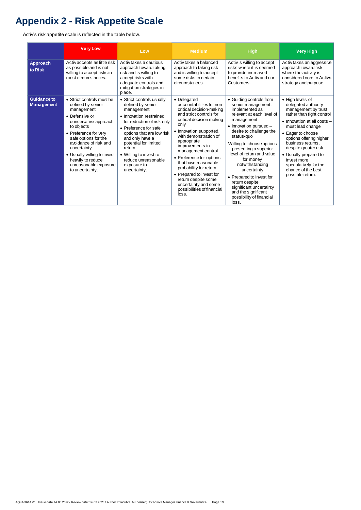AQuA 3614 V1 Issue date 14.03.2022 / Review date: 14.03.2023 / Author: Executive Authoriser; Executive Manager Finance & Governance Page 19

# <span id="page-18-0"></span>**Appendix 2 - Risk Appetite Scale**

Activ's risk appetite scale is reflected in the table below.

|                                         | <b>Very Low</b>                                                                                                                                                                                                                                                                                                | Low                                                                                                                                                                                                                                                                                                               | <b>Medium</b>                                                                                                                                                                                                                                                                                                                                                                                                                                   | <b>High</b>                                                                                                                                                                                                                                                                                                                                                                                                                                                  | <b>Very High</b>                                                                                                                                                                                                                                                                                                                                           |
|-----------------------------------------|----------------------------------------------------------------------------------------------------------------------------------------------------------------------------------------------------------------------------------------------------------------------------------------------------------------|-------------------------------------------------------------------------------------------------------------------------------------------------------------------------------------------------------------------------------------------------------------------------------------------------------------------|-------------------------------------------------------------------------------------------------------------------------------------------------------------------------------------------------------------------------------------------------------------------------------------------------------------------------------------------------------------------------------------------------------------------------------------------------|--------------------------------------------------------------------------------------------------------------------------------------------------------------------------------------------------------------------------------------------------------------------------------------------------------------------------------------------------------------------------------------------------------------------------------------------------------------|------------------------------------------------------------------------------------------------------------------------------------------------------------------------------------------------------------------------------------------------------------------------------------------------------------------------------------------------------------|
| <b>Approach</b><br>to Risk              | Activaccepts as little risk<br>as possible and is not<br>willing to accept risks in<br>most circumstances.                                                                                                                                                                                                     | Activitakes a cautious<br>approach toward taking<br>risk and is willing to<br>accept risks with<br>adequate controls and<br>mitigation strategies in<br>place.                                                                                                                                                    | Activ takes a balanced<br>approach to taking risk<br>and is willing to accept<br>some risks in certain<br>circumstances.                                                                                                                                                                                                                                                                                                                        | Activ is willing to accept<br>risks where it is deemed<br>to provide increased<br>benefits to Activ and our<br>Customers.                                                                                                                                                                                                                                                                                                                                    | Activtakes an aggressive<br>approach toward risk<br>where the activity is<br>considered core to Activ's<br>strategy and purpose.                                                                                                                                                                                                                           |
| <b>Guidance to</b><br><b>Management</b> | • Strict controls must be<br>defined by senior<br>management<br>• Defensive or<br>conservative approach<br>to objects<br>• Preference for very<br>safe options for the<br>avoidance of risk and<br>uncertainty<br>• Usually willing to invest<br>heavily to reduce<br>unreasonable exposure<br>to uncertainty. | • Strict controls usually<br>defined by senior<br>management<br>• Innovation restrained<br>for reduction of risk only<br>• Preference for safe<br>options that are low risk<br>and only have a<br>potential for limited<br>return<br>• Willing to invest to<br>reduce unreasonable<br>exposure to<br>uncertainty. | • Delegated<br>accountabilities for non-<br>critical decision-making<br>and strict controls for<br>critical decision making<br>only<br>• Innovation supported,<br>with demonstration of<br>appropriate<br>improvements in<br>management control<br>• Preference for options<br>that have reasonable<br>probability for return<br>• Prepared to invest for<br>return despite some<br>uncertainty and some<br>possibilities of financial<br>loss. | • Guiding controls from<br>senior management,<br>implemented as<br>relevant at each level of<br>management<br>$\bullet$ Innovation pursued -<br>desire to challenge the<br>status-quo<br>Willing to choose options<br>presenting a superior<br>level of return and value<br>for money<br>notwithstanding<br>uncertainty<br>• Prepared to invest for<br>return despite<br>significant uncertainty<br>and the significant<br>possibility of financial<br>loss. | • High levels of<br>delegated authority $-$<br>management by trust<br>rather than tight control<br>• Innovation at all costs -<br>must lead change<br>• Eager to choose<br>options offering higher<br>business returns,<br>despite greater risk<br>• Usually prepared to<br>invest more<br>speculatively for the<br>chance of the best<br>possible return. |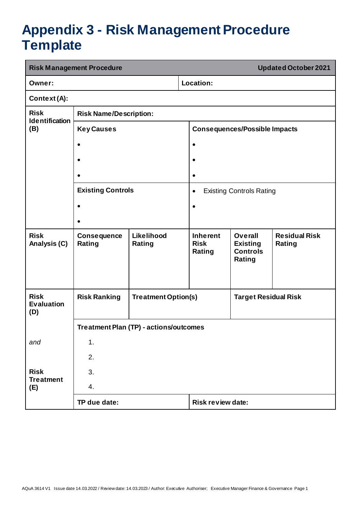## <span id="page-19-0"></span>**Appendix 3 - Risk Management Procedure Template**

|                                         | <b>Risk Management Procedure</b><br><b>Updated October 2021</b> |                                                           |           |                                          |                                                                |                                |  |
|-----------------------------------------|-----------------------------------------------------------------|-----------------------------------------------------------|-----------|------------------------------------------|----------------------------------------------------------------|--------------------------------|--|
| Owner:                                  |                                                                 |                                                           |           | Location:                                |                                                                |                                |  |
| Context(A):                             |                                                                 |                                                           |           |                                          |                                                                |                                |  |
| <b>Risk</b><br><b>Identification</b>    | <b>Risk Name/Description:</b>                                   |                                                           |           |                                          |                                                                |                                |  |
| (B)                                     | <b>Key Causes</b>                                               |                                                           |           |                                          | <b>Consequences/Possible Impacts</b>                           |                                |  |
|                                         | $\bullet$                                                       |                                                           | $\bullet$ |                                          |                                                                |                                |  |
|                                         |                                                                 |                                                           | $\bullet$ |                                          |                                                                |                                |  |
|                                         |                                                                 |                                                           | $\bullet$ |                                          |                                                                |                                |  |
|                                         | <b>Existing Controls</b>                                        |                                                           | $\bullet$ |                                          | <b>Existing Controls Rating</b>                                |                                |  |
|                                         |                                                                 |                                                           | $\bullet$ |                                          |                                                                |                                |  |
|                                         |                                                                 |                                                           |           |                                          |                                                                |                                |  |
| <b>Risk</b><br>Analysis (C)             | <b>Consequence</b><br>Rating                                    | Likelihood<br>Rating                                      |           | <b>Inherent</b><br><b>Risk</b><br>Rating | <b>Overall</b><br><b>Existing</b><br><b>Controls</b><br>Rating | <b>Residual Risk</b><br>Rating |  |
| <b>Risk</b><br><b>Evaluation</b><br>(D) | <b>Risk Ranking</b>                                             | <b>Treatment Option(s)</b><br><b>Target Residual Risk</b> |           |                                          |                                                                |                                |  |
|                                         | <b>Treatment Plan (TP) - actions/outcomes</b>                   |                                                           |           |                                          |                                                                |                                |  |
| and                                     | 1.                                                              |                                                           |           |                                          |                                                                |                                |  |
|                                         | 2.                                                              |                                                           |           |                                          |                                                                |                                |  |
| <b>Risk</b><br><b>Treatment</b>         | 3.                                                              |                                                           |           |                                          |                                                                |                                |  |
| (E)                                     | 4.                                                              |                                                           |           |                                          |                                                                |                                |  |
|                                         | TP due date:                                                    |                                                           |           | <b>Risk review date:</b>                 |                                                                |                                |  |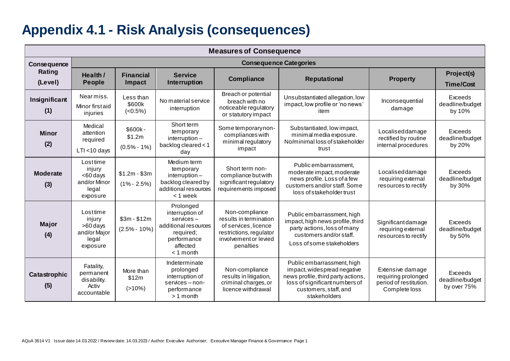## **Appendix 4.1 - Risk Analysis (consequences)**

<span id="page-20-0"></span>

|                        | <b>Measures of Consequence</b>                                         |                                      |                                                                                                                                |                                                                                                                                   |                                                                                                                                                                            |                                                                                    |                                           |
|------------------------|------------------------------------------------------------------------|--------------------------------------|--------------------------------------------------------------------------------------------------------------------------------|-----------------------------------------------------------------------------------------------------------------------------------|----------------------------------------------------------------------------------------------------------------------------------------------------------------------------|------------------------------------------------------------------------------------|-------------------------------------------|
| Consequence            |                                                                        |                                      |                                                                                                                                |                                                                                                                                   | <b>Consequence Categories</b>                                                                                                                                              |                                                                                    |                                           |
| Rating<br>(Level)      | Health /<br><b>People</b>                                              | <b>Financial</b><br>Impact           | <b>Service</b><br><b>Interruption</b>                                                                                          | Compliance                                                                                                                        | <b>Reputational</b>                                                                                                                                                        | <b>Property</b>                                                                    | Project(s)<br><b>Time/Cost</b>            |
| Insignificant<br>(1)   | Nearmiss.<br>Minor firstaid<br>injuries                                | Less than<br>\$600k<br>$(<0.5\%)$    | No material service<br>interruption                                                                                            | Breach or potential<br>breach with no<br>noticeable regulatory<br>or statutory impact                                             | Unsubstantiated allegation, low<br>impact, low profile or 'no news'<br>item                                                                                                | Inconsequential<br>damage                                                          | Exceeds<br>deadline/budget<br>by 10%      |
| <b>Minor</b><br>(2)    | Medical<br>attention<br>required<br>$LTI < 10$ days                    | \$600k-<br>\$1.2m<br>$(0.5\% - 1\%)$ | Short term<br>temporary<br>interruption-<br>backlog cleared < 1<br>day                                                         | Some temporary non-<br>compliances with<br>minimal regulatory<br>impact                                                           | Substantiated, low impact,<br>minimal media exposure.<br>No/minimal loss of stakeholder<br>trust                                                                           | Localiseddamage<br>rectified by routine<br>internal procedures                     | Exceeds<br>deadline/budget<br>by 20%      |
| <b>Moderate</b><br>(3) | Losttime<br>injury<br>$<$ 60 days<br>and/or Minor<br>legal<br>exposure | $$1.2m - $3m$<br>$(1\% - 2.5\%)$     | Medium term<br>temporary<br>interruption-<br>backlog cleared by<br>additional resources<br>< 1 week                            | Short term non-<br>compliance but with<br>significant regulatory<br>requirements imposed                                          | Public embarrassment,<br>moderate impact, moderate<br>news profile. Loss of a few<br>customers and/or staff. Some<br>loss of stakeholder trust                             | Localiseddamage<br>requiring external<br>resources to rectify                      | Exceeds<br>deadline/budget<br>by 30%      |
| <b>Major</b><br>(4)    | Losttime<br>injury<br>>60 days<br>and/or Major<br>legal<br>exposure    | $$3m - $12m$<br>$(2.5\% - 10\%)$     | Prolonged<br>interruption of<br>$s$ ervices $-$<br>additional resources<br>required;<br>performance<br>affected<br>$<$ 1 month | Non-compliance<br>results in termination<br>of services, licence<br>restrictions, regulator<br>involvement or levied<br>penalties | Public embarrassment, high<br>impact, high news profile, third<br>party actions, loss of many<br>customers and/or staff.<br>Loss of some stakeholders                      | Significant damage<br>requiring external<br>resources to rectify                   | Exceeds<br>deadline/budget<br>by 50%      |
| Catastrophic<br>(5)    | Fatality,<br>permanent<br>disability.<br>Activ<br>accountable          | More than<br>\$12m<br>$(>10\%)$      | Indeterminate<br>prolonged<br>interruption of<br>$s$ ervices $-$ non-<br>performance<br>$>1$ month                             | Non-compliance<br>results in litigation,<br>criminal charges, or<br>licence withdrawal                                            | Public embarrassment, high<br>impact, widespread negative<br>news profile, third party actions,<br>loss of significant numbers of<br>customers, staff, and<br>stakeholders | Extensive damage<br>requiring prolonged<br>period of restitution.<br>Complete loss | Exceeds<br>deadline/budget<br>by over 75% |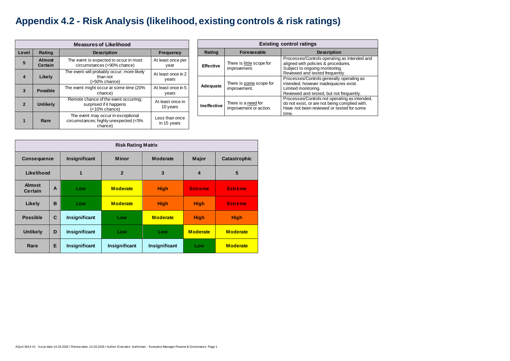# <span id="page-21-0"></span>**Appendix 4.2 - Risk Analysis (likelihood, existing controls & risk ratings)**

|              | <b>Measures of Likelihood</b>   |                                                                                        |                               |  |  |
|--------------|---------------------------------|----------------------------------------------------------------------------------------|-------------------------------|--|--|
| Level        | Rating                          | <b>Description</b>                                                                     | <b>Frequency</b>              |  |  |
| 5            | <b>Almost</b><br><b>Certain</b> | The event is expected to occur in most<br>circumstances (>90% chance)                  | At least once per<br>year     |  |  |
| 4            | Likely                          | The event will probably occur; more likely<br>than not<br>(>50% chance)                | At least once in 2<br>years   |  |  |
| 3            | <b>Possible</b>                 | The event might occur at some time (20%<br>chance)                                     | At least once in 5<br>years   |  |  |
| $\mathbf{2}$ | <b>Unlikely</b>                 | Remote chance of the event occurring;<br>surprised if it happens<br>(<10% chance)      | At least once in<br>10 years  |  |  |
|              | Rare                            | The event may occur in exceptional<br>circumstances; highly unexpected (<5%<br>chance) | Less than once<br>in 15 years |  |  |

|                                 | <b>Risk Rating Matrix</b> |               |                 |                 |                 |                 |
|---------------------------------|---------------------------|---------------|-----------------|-----------------|-----------------|-----------------|
| <b>Consequence</b>              |                           | Insignificant | <b>Minor</b>    | <b>Moderate</b> | <b>Major</b>    | Catastrophic    |
| Likelihood                      |                           | $\mathbf{1}$  | $\overline{2}$  | 3               | 4               | 5               |
| <b>Almost</b><br><b>Certain</b> | $\overline{A}$            | Low           | <b>Moderate</b> | <b>High</b>     | <b>Extreme</b>  | <b>Extreme</b>  |
| <b>Likely</b>                   | B                         | Low           | <b>Moderate</b> | <b>High</b>     | <b>High</b>     | <b>Extreme</b>  |
| <b>Possible</b>                 | $\mathbf C$               | Insignificant | Low             | <b>Moderate</b> | <b>High</b>     | <b>High</b>     |
| <b>Unlikely</b>                 | D                         | Insignificant | Low             | Low             | <b>Moderate</b> | <b>Moderate</b> |
| Rare                            | E                         | Insignificant | Insignificant   | Insignificant   | Low             | <b>Moderate</b> |

|                    | <b>Existing control ratings</b>               |                                                                                                                                                          |  |  |  |
|--------------------|-----------------------------------------------|----------------------------------------------------------------------------------------------------------------------------------------------------------|--|--|--|
| Rating             | <b>Foreseeable</b>                            | <b>Description</b>                                                                                                                                       |  |  |  |
| <b>Effective</b>   | There is little scope for<br>improvement.     | Processes/Controls operating as intended and<br>aligned with policies & procedures.<br>Subject to ongoing monitoring.<br>Reviewed and tested frequently. |  |  |  |
| <b>Adequate</b>    | There is some scope for<br>improvement.       | Processes/Controls generally operating as<br>intended, however inadequacies exist.<br>Limited monitoring.<br>Reviewed and tested, but not frequently.    |  |  |  |
| <b>Ineffective</b> | There is a need for<br>improvement or action. | Processes/Controls not operating as intended,<br>do not exist, or are not being complied with.<br>Have not been reviewed or tested for some<br>time.     |  |  |  |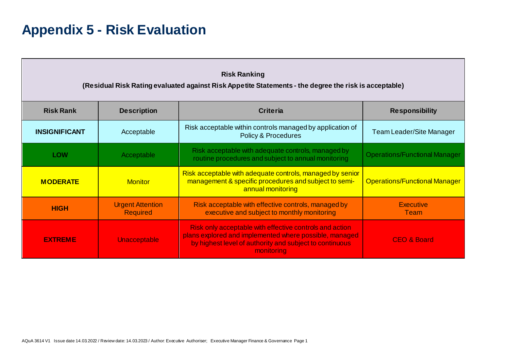## **Appendix 5 - Risk Evaluation**

<span id="page-22-0"></span>

| <b>Risk Ranking</b><br>(Residual Risk Rating evaluated against Risk Appetite Statements - the degree the risk is acceptable) |                                            |                                                                                                                                                                                            |                                      |  |
|------------------------------------------------------------------------------------------------------------------------------|--------------------------------------------|--------------------------------------------------------------------------------------------------------------------------------------------------------------------------------------------|--------------------------------------|--|
| <b>Risk Rank</b>                                                                                                             | <b>Description</b>                         | <b>Criteria</b>                                                                                                                                                                            | <b>Responsibility</b>                |  |
| <b>INSIGNIFICANT</b>                                                                                                         | Acceptable                                 | Risk acceptable within controls managed by application of<br><b>Policy &amp; Procedures</b>                                                                                                | Team Leader/Site Manager             |  |
| <b>LOW</b>                                                                                                                   | Acceptable                                 | Risk acceptable with adequate controls, managed by<br>routine procedures and subject to annual monitoring                                                                                  | <b>Operations/Functional Manager</b> |  |
| <b>MODERATE</b>                                                                                                              | <b>Monitor</b>                             | Risk acceptable with adequate controls, managed by senior<br>management & specific procedures and subject to semi-<br>annual monitoring                                                    | <b>Operations/Functional Manager</b> |  |
| <b>HIGH</b>                                                                                                                  | <b>Urgent Attention</b><br><b>Required</b> | Risk acceptable with effective controls, managed by<br>executive and subject to monthly monitoring                                                                                         | <b>Executive</b><br>Team             |  |
| <b>EXTREME</b>                                                                                                               | <b>Unacceptable</b>                        | Risk only acceptable with effective controls and action<br>plans explored and implemented where possible, managed<br>by highest level of authority and subject to continuous<br>monitoring | <b>CEO &amp; Board</b>               |  |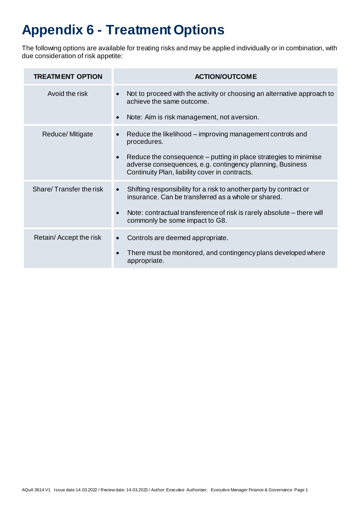# <span id="page-23-0"></span>**Appendix 6 - Treatment Options**

The following options are available for treating risks and may be applied individually or in combination, with due consideration of risk appetite:

| <b>TREATMENT OPTION</b> | <b>ACTION/OUTCOME</b>                                                                                                                                                                        |
|-------------------------|----------------------------------------------------------------------------------------------------------------------------------------------------------------------------------------------|
| Avoid the risk          | Not to proceed with the activity or choosing an alternative approach to<br>$\bullet$<br>achieve the same outcome.                                                                            |
|                         | Note: Aim is risk management, not aversion.<br>$\bullet$                                                                                                                                     |
| Reduce/Mitigate         | Reduce the likelihood – improving management controls and<br>$\bullet$<br>procedures.                                                                                                        |
|                         | Reduce the consequence – putting in place strategies to minimise<br>$\bullet$<br>adverse consequences, e.g. contingency planning, Business<br>Continuity Plan, liability cover in contracts. |
| Share/Transfer the risk | Shifting responsibility for a risk to another party by contract or<br>$\bullet$<br>insurance. Can be transferred as a whole or shared.                                                       |
|                         | Note: contractual transference of risk is rarely absolute – there will<br>$\bullet$<br>commonly be some impact to G8.                                                                        |
| Retain/Accept the risk  | Controls are deemed appropriate.<br>$\bullet$                                                                                                                                                |
|                         | There must be monitored, and contingency plans developed where<br>$\bullet$<br>appropriate.                                                                                                  |